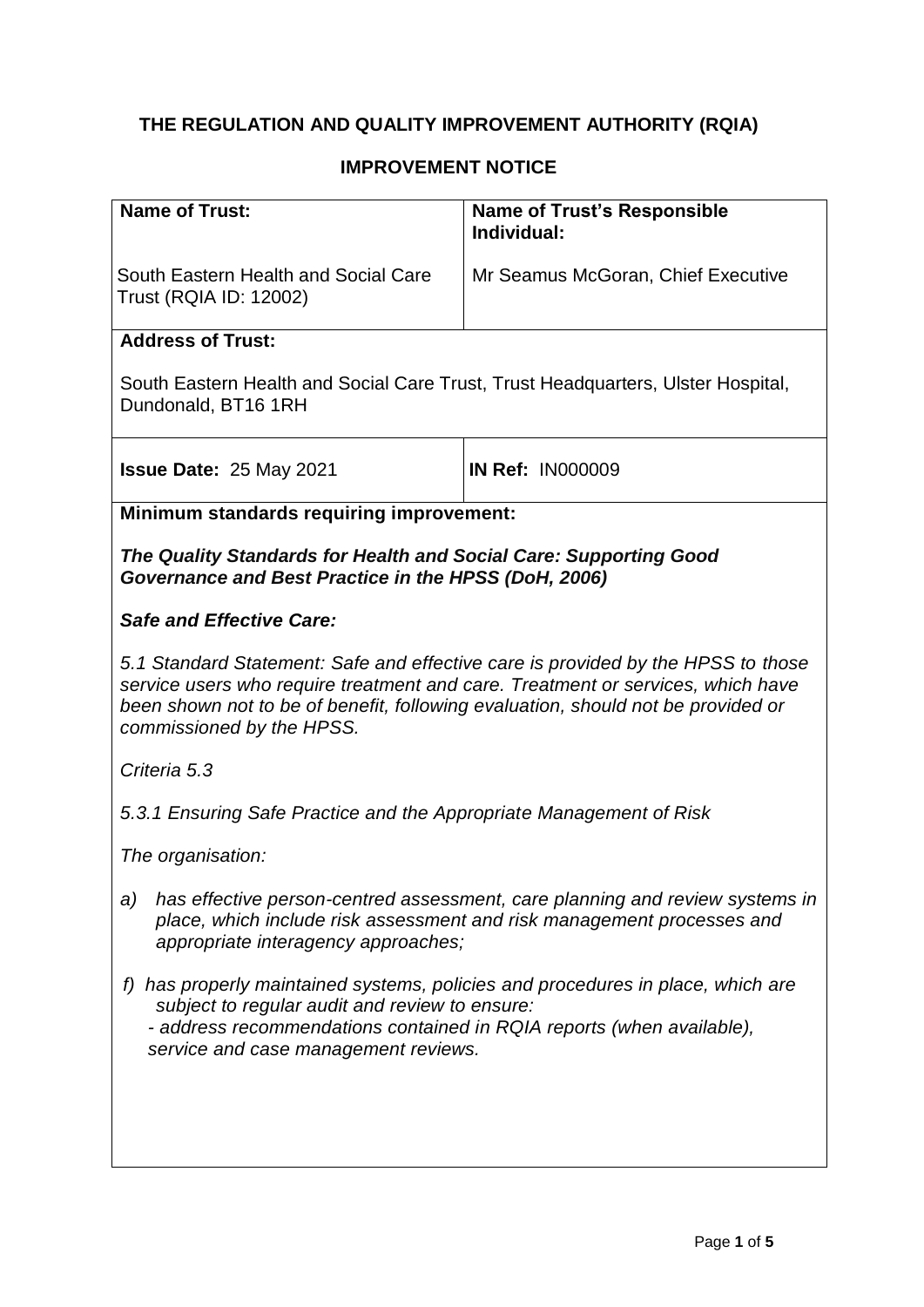# **THE REGULATION AND QUALITY IMPROVEMENT AUTHORITY (RQIA)**

## **IMPROVEMENT NOTICE**

| <b>Name of Trust:</b>                                                                                                                                                                                                                                                                | <b>Name of Trust's Responsible</b><br>Individual: |
|--------------------------------------------------------------------------------------------------------------------------------------------------------------------------------------------------------------------------------------------------------------------------------------|---------------------------------------------------|
| South Eastern Health and Social Care<br>Trust (RQIA ID: 12002)                                                                                                                                                                                                                       | Mr Seamus McGoran, Chief Executive                |
| <b>Address of Trust:</b>                                                                                                                                                                                                                                                             |                                                   |
| South Eastern Health and Social Care Trust, Trust Headquarters, Ulster Hospital,<br>Dundonald, BT16 1RH                                                                                                                                                                              |                                                   |
| <b>Issue Date: 25 May 2021</b>                                                                                                                                                                                                                                                       | <b>IN Ref: IN000009</b>                           |
| Minimum standards requiring improvement:                                                                                                                                                                                                                                             |                                                   |
| The Quality Standards for Health and Social Care: Supporting Good<br>Governance and Best Practice in the HPSS (DoH, 2006)                                                                                                                                                            |                                                   |
| <b>Safe and Effective Care:</b>                                                                                                                                                                                                                                                      |                                                   |
| 5.1 Standard Statement: Safe and effective care is provided by the HPSS to those<br>service users who require treatment and care. Treatment or services, which have<br>been shown not to be of benefit, following evaluation, should not be provided or<br>commissioned by the HPSS. |                                                   |
| Criteria 5.3                                                                                                                                                                                                                                                                         |                                                   |
| 5.3.1 Ensuring Safe Practice and the Appropriate Management of Risk                                                                                                                                                                                                                  |                                                   |
| The organisation:                                                                                                                                                                                                                                                                    |                                                   |
| a) has effective person-centred assessment, care planning and review systems in<br>place, which include risk assessment and risk management processes and<br>appropriate interagency approaches;                                                                                     |                                                   |
| has properly maintained systems, policies and procedures in place, which are<br>t)<br>subject to regular audit and review to ensure:<br>- address recommendations contained in RQIA reports (when available),<br>service and case management reviews.                                |                                                   |
|                                                                                                                                                                                                                                                                                      |                                                   |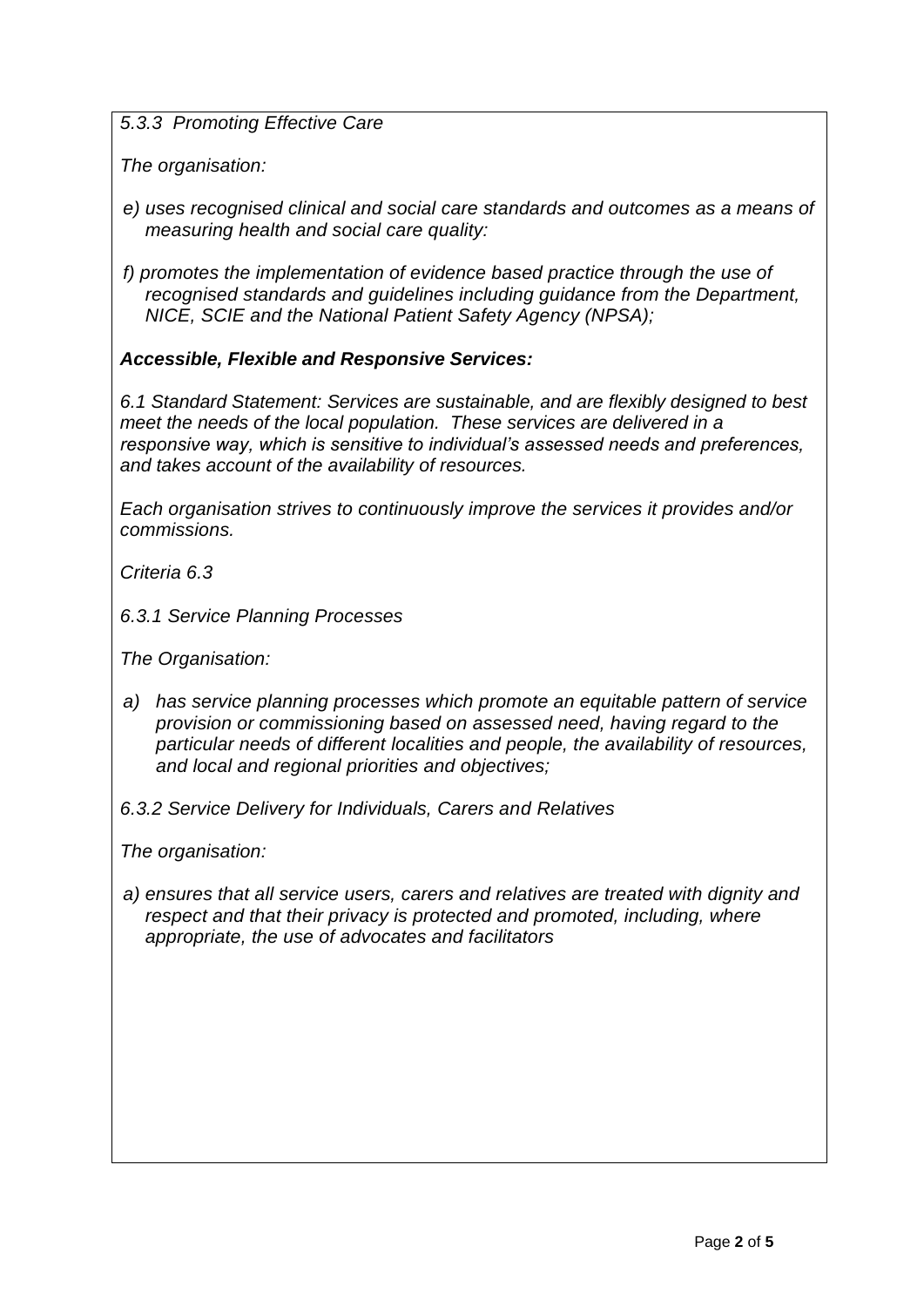*5.3.3 Promoting Effective Care*

*The organisation:*

- *e) uses recognised clinical and social care standards and outcomes as a means of measuring health and social care quality:*
- *f) promotes the implementation of evidence based practice through the use of recognised standards and guidelines including guidance from the Department, NICE, SCIE and the National Patient Safety Agency (NPSA);*

## *Accessible, Flexible and Responsive Services:*

*6.1 Standard Statement: Services are sustainable, and are flexibly designed to best meet the needs of the local population. These services are delivered in a responsive way, which is sensitive to individual's assessed needs and preferences, and takes account of the availability of resources.*

*Each organisation strives to continuously improve the services it provides and/or commissions.*

*Criteria 6.3*

*6.3.1 Service Planning Processes*

*The Organisation:*

- *a) has service planning processes which promote an equitable pattern of service provision or commissioning based on assessed need, having regard to the particular needs of different localities and people, the availability of resources, and local and regional priorities and objectives;*
- *6.3.2 Service Delivery for Individuals, Carers and Relatives*

*The organisation:*

*a) ensures that all service users, carers and relatives are treated with dignity and respect and that their privacy is protected and promoted, including, where appropriate, the use of advocates and facilitators*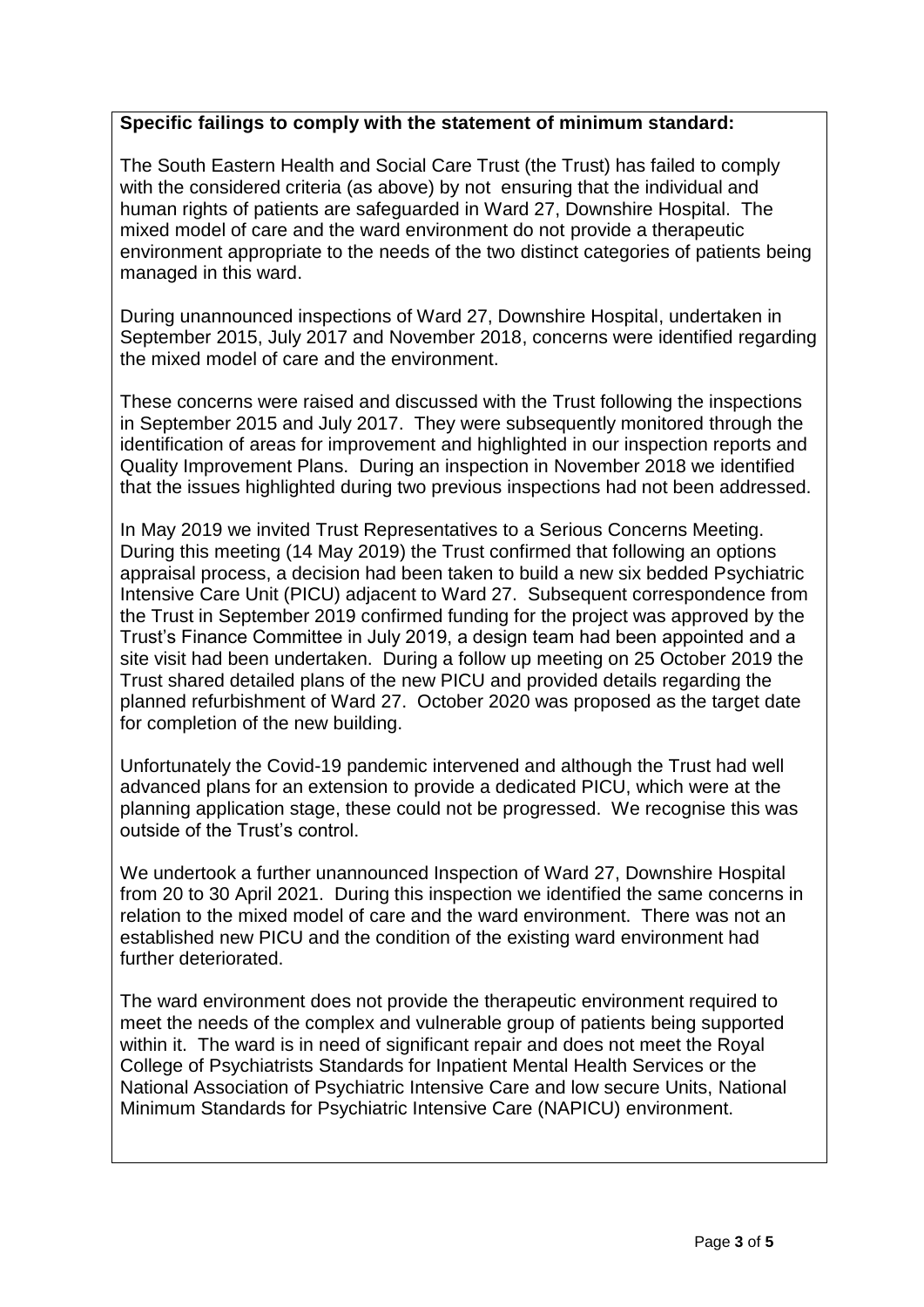## **Specific failings to comply with the statement of minimum standard:**

The South Eastern Health and Social Care Trust (the Trust) has failed to comply with the considered criteria (as above) by not ensuring that the individual and human rights of patients are safeguarded in Ward 27, Downshire Hospital. The mixed model of care and the ward environment do not provide a therapeutic environment appropriate to the needs of the two distinct categories of patients being managed in this ward.

During unannounced inspections of Ward 27, Downshire Hospital, undertaken in September 2015, July 2017 and November 2018, concerns were identified regarding the mixed model of care and the environment.

These concerns were raised and discussed with the Trust following the inspections in September 2015 and July 2017. They were subsequently monitored through the identification of areas for improvement and highlighted in our inspection reports and Quality Improvement Plans. During an inspection in November 2018 we identified that the issues highlighted during two previous inspections had not been addressed.

In May 2019 we invited Trust Representatives to a Serious Concerns Meeting. During this meeting (14 May 2019) the Trust confirmed that following an options appraisal process, a decision had been taken to build a new six bedded Psychiatric Intensive Care Unit (PICU) adjacent to Ward 27. Subsequent correspondence from the Trust in September 2019 confirmed funding for the project was approved by the Trust's Finance Committee in July 2019, a design team had been appointed and a site visit had been undertaken. During a follow up meeting on 25 October 2019 the Trust shared detailed plans of the new PICU and provided details regarding the planned refurbishment of Ward 27. October 2020 was proposed as the target date for completion of the new building.

Unfortunately the Covid-19 pandemic intervened and although the Trust had well advanced plans for an extension to provide a dedicated PICU, which were at the planning application stage, these could not be progressed. We recognise this was outside of the Trust's control.

We undertook a further unannounced Inspection of Ward 27, Downshire Hospital from 20 to 30 April 2021. During this inspection we identified the same concerns in relation to the mixed model of care and the ward environment. There was not an established new PICU and the condition of the existing ward environment had further deteriorated.

The ward environment does not provide the therapeutic environment required to meet the needs of the complex and vulnerable group of patients being supported within it. The ward is in need of significant repair and does not meet the Royal College of Psychiatrists Standards for Inpatient Mental Health Services or the National Association of Psychiatric Intensive Care and low secure Units, National Minimum Standards for Psychiatric Intensive Care (NAPICU) environment.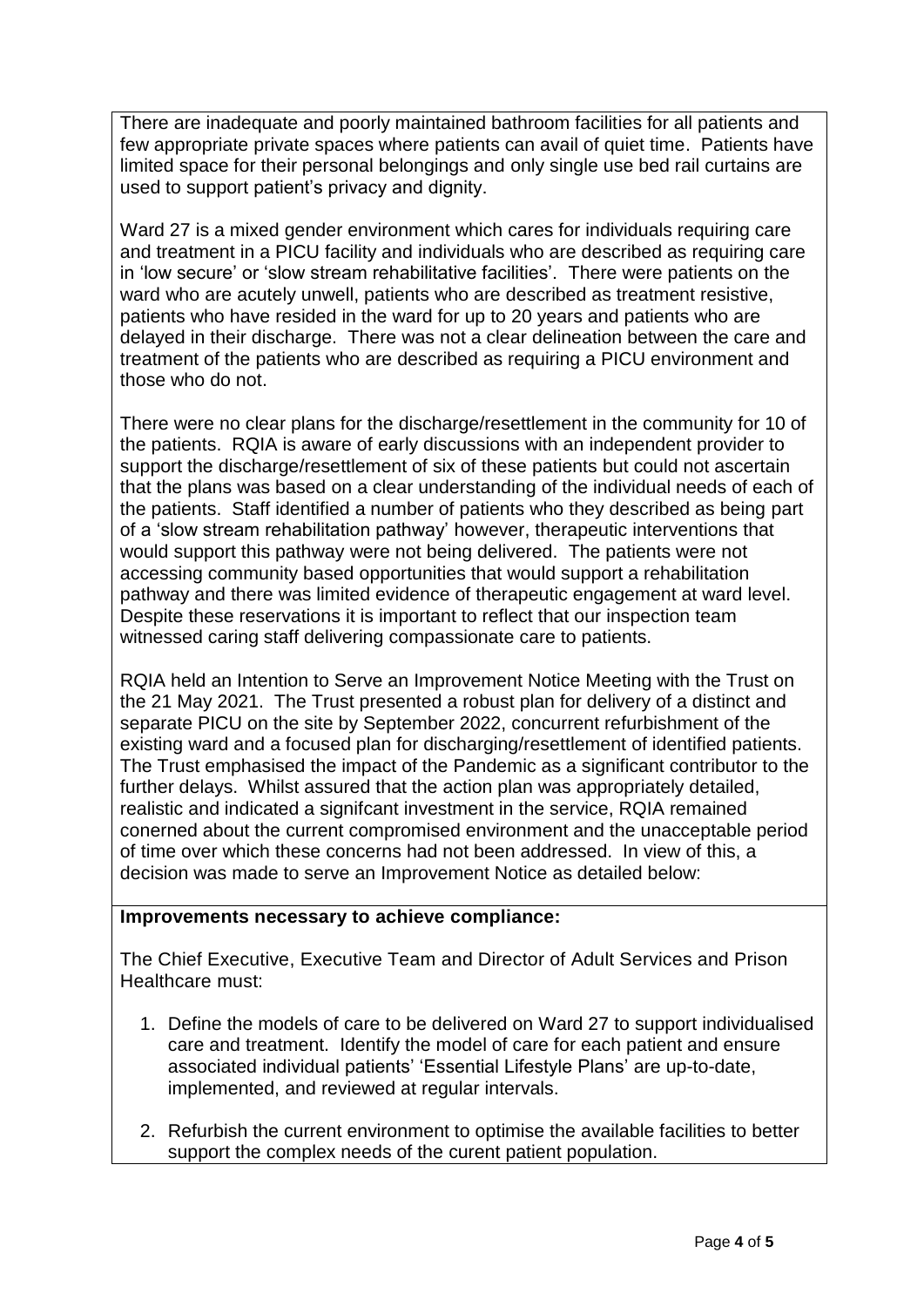There are inadequate and poorly maintained bathroom facilities for all patients and few appropriate private spaces where patients can avail of quiet time. Patients have limited space for their personal belongings and only single use bed rail curtains are used to support patient's privacy and dignity.

Ward 27 is a mixed gender environment which cares for individuals requiring care and treatment in a PICU facility and individuals who are described as requiring care in 'low secure' or 'slow stream rehabilitative facilities'. There were patients on the ward who are acutely unwell, patients who are described as treatment resistive, patients who have resided in the ward for up to 20 years and patients who are delayed in their discharge. There was not a clear delineation between the care and treatment of the patients who are described as requiring a PICU environment and those who do not.

There were no clear plans for the discharge/resettlement in the community for 10 of the patients. RQIA is aware of early discussions with an independent provider to support the discharge/resettlement of six of these patients but could not ascertain that the plans was based on a clear understanding of the individual needs of each of the patients. Staff identified a number of patients who they described as being part of a 'slow stream rehabilitation pathway' however, therapeutic interventions that would support this pathway were not being delivered. The patients were not accessing community based opportunities that would support a rehabilitation pathway and there was limited evidence of therapeutic engagement at ward level. Despite these reservations it is important to reflect that our inspection team witnessed caring staff delivering compassionate care to patients.

RQIA held an Intention to Serve an Improvement Notice Meeting with the Trust on the 21 May 2021. The Trust presented a robust plan for delivery of a distinct and separate PICU on the site by September 2022, concurrent refurbishment of the existing ward and a focused plan for discharging/resettlement of identified patients. The Trust emphasised the impact of the Pandemic as a significant contributor to the further delays. Whilst assured that the action plan was appropriately detailed, realistic and indicated a signifcant investment in the service, RQIA remained conerned about the current compromised environment and the unacceptable period of time over which these concerns had not been addressed. In view of this, a decision was made to serve an Improvement Notice as detailed below:

#### **Improvements necessary to achieve compliance:**

The Chief Executive, Executive Team and Director of Adult Services and Prison Healthcare must:

- 1. Define the models of care to be delivered on Ward 27 to support individualised care and treatment. Identify the model of care for each patient and ensure associated individual patients' 'Essential Lifestyle Plans' are up-to-date, implemented, and reviewed at regular intervals.
- 2. Refurbish the current environment to optimise the available facilities to better support the complex needs of the curent patient population.